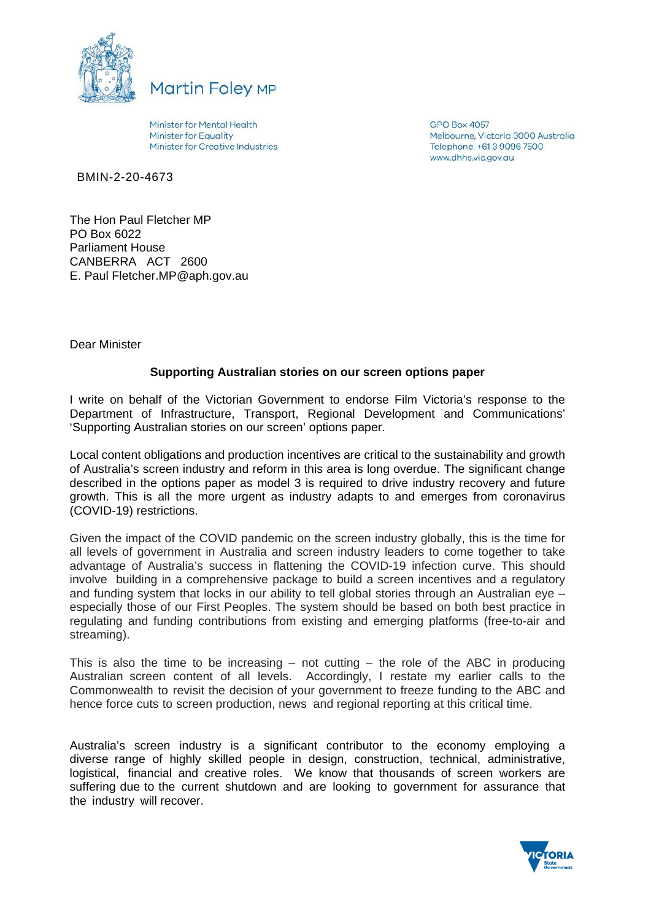



Minister for Mental Health **Minister for Equality** Minister for Creative Industries **GPO Box 4057** Melbourne, Victoria 3000 Australia Telephone: +61.3.9096.7500 www.dhhs.vic.gov.au

BMIN-2-20-4673

The Hon Paul Fletcher MP PO Box 6022 Parliament House CANBERRA ACT 2600 E. Paul Fletcher.MP@aph.gov.au

Dear Minister

# **Supporting Australian stories on our screen options paper**

I write on behalf of the Victorian Government to endorse Film Victoria's response to the Department of Infrastructure, Transport, Regional Development and Communications' 'Supporting Australian stories on our screen' options paper.

Local content obligations and production incentives are critical to the sustainability and growth of Australia's screen industry and reform in this area is long overdue. The significant change described in the options paper as model 3 is required to drive industry recovery and future growth. This is all the more urgent as industry adapts to and emerges from coronavirus (COVID-19) restrictions.

Given the impact of the COVID pandemic on the screen industry globally, this is the time for all levels of government in Australia and screen industry leaders to come together to take advantage of Australia's success in flattening the COVID-19 infection curve. This should involve building in a comprehensive package to build a screen incentives and a regulatory and funding system that locks in our ability to tell global stories through an Australian eye – especially those of our First Peoples. The system should be based on both best practice in regulating and funding contributions from existing and emerging platforms (free-to-air and streaming).

This is also the time to be increasing  $-$  not cutting  $-$  the role of the ABC in producing Australian screen content of all levels. Accordingly, I restate my earlier calls to the Commonwealth to revisit the decision of your government to freeze funding to the ABC and hence force cuts to screen production, news and regional reporting at this critical time.

Australia's screen industry is a significant contributor to the economy employing a diverse range of highly skilled people in design, construction, technical, administrative, logistical, financial and creative roles. We know that thousands of screen workers are suffering due to the current shutdown and are looking to government for assurance that the industry will recover.

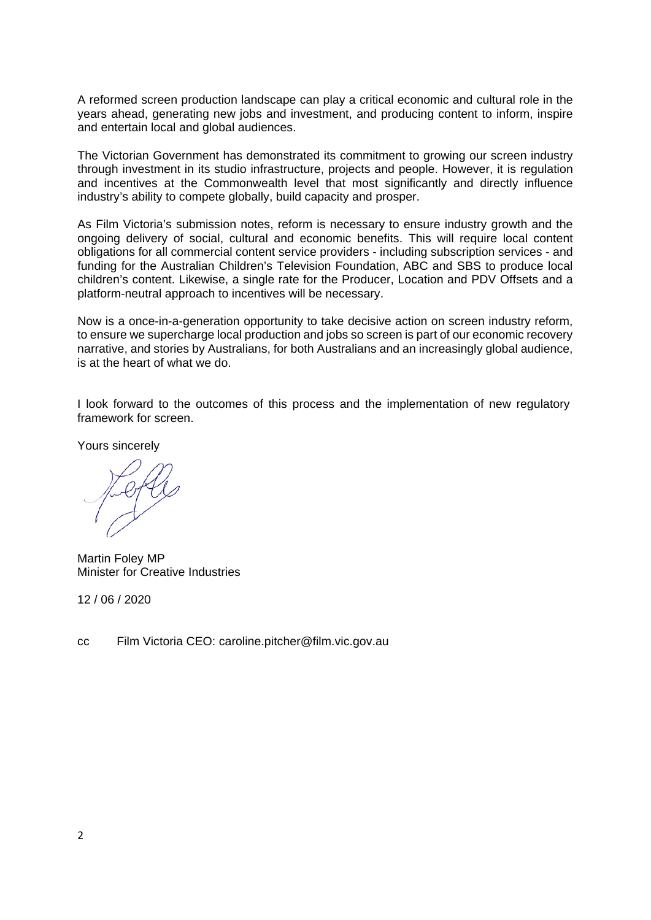A reformed screen production landscape can play a critical economic and cultural role in the years ahead, generating new jobs and investment, and producing content to inform, inspire and entertain local and global audiences.

The Victorian Government has demonstrated its commitment to growing our screen industry through investment in its studio infrastructure, projects and people. However, it is regulation and incentives at the Commonwealth level that most significantly and directly influence industry's ability to compete globally, build capacity and prosper.

As Film Victoria's submission notes, reform is necessary to ensure industry growth and the ongoing delivery of social, cultural and economic benefits. This will require local content obligations for all commercial content service providers - including subscription services - and funding for the Australian Children's Television Foundation, ABC and SBS to produce local children's content. Likewise, a single rate for the Producer, Location and PDV Offsets and a platform-neutral approach to incentives will be necessary.

Now is a once-in-a-generation opportunity to take decisive action on screen industry reform, to ensure we supercharge local production and jobs so screen is part of our economic recovery narrative, and stories by Australians, for both Australians and an increasingly global audience, is at the heart of what we do.

I look forward to the outcomes of this process and the implementation of new regulatory framework for screen.

Yours sincerely

Martin Foley MP Minister for Creative Industries

12 / 06 / 2020

cc Film Victoria CEO: caroline.pitcher@film.vic.gov.au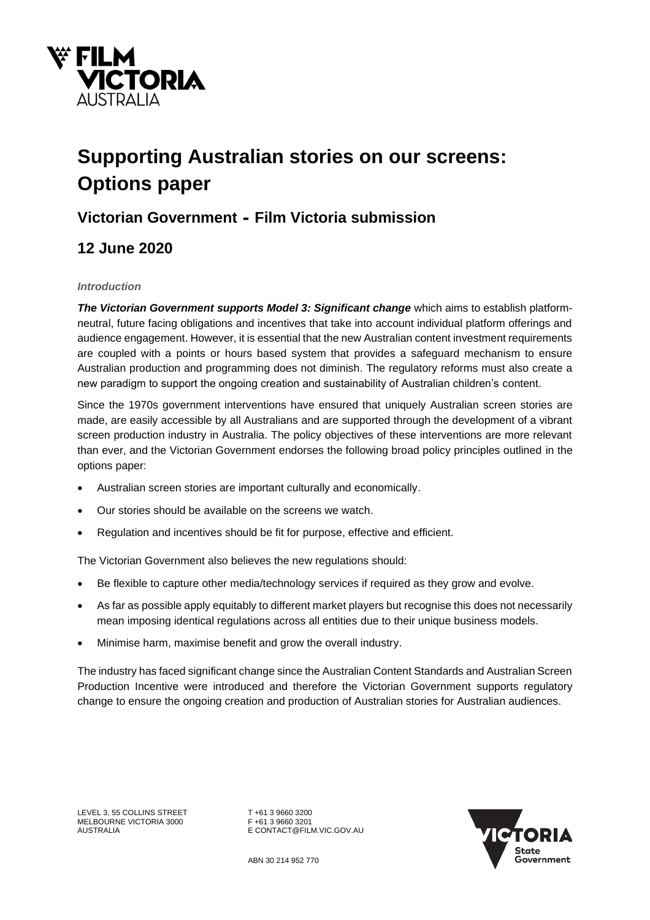

# **Supporting Australian stories on our screens: Options paper**

# **Victorian Government - Film Victoria submission**

# **12 June 2020**

#### *Introduction*

*The Victorian Government supports Model 3: Significant change* which aims to establish platformneutral, future facing obligations and incentives that take into account individual platform offerings and audience engagement. However, it is essential that the new Australian content investment requirements are coupled with a points or hours based system that provides a safeguard mechanism to ensure Australian production and programming does not diminish. The regulatory reforms must also create a new paradigm to support the ongoing creation and sustainability of Australian children's content.

Since the 1970s government interventions have ensured that uniquely Australian screen stories are made, are easily accessible by all Australians and are supported through the development of a vibrant screen production industry in Australia. The policy objectives of these interventions are more relevant than ever, and the Victorian Government endorses the following broad policy principles outlined in the options paper:

- Australian screen stories are important culturally and economically.
- Our stories should be available on the screens we watch.
- Regulation and incentives should be fit for purpose, effective and efficient.

The Victorian Government also believes the new regulations should:

- Be flexible to capture other media/technology services if required as they grow and evolve.
- As far as possible apply equitably to different market players but recognise this does not necessarily mean imposing identical regulations across all entities due to their unique business models.
- Minimise harm, maximise benefit and grow the overall industry.

The industry has faced significant change since the Australian Content Standards and Australian Screen Production Incentive were introduced and therefore the Victorian Government supports regulatory change to ensure the ongoing creation and production of Australian stories for Australian audiences.

LEVEL 3, 55 COLLINS STREET TH61 3 9660 3200<br>MELBOURNE VICTORIA 3000 F+61 3 9660 3201 MELBOURNE VICTORIA 3000<br>AUSTRALIA

E CONTACT@FILM.VIC.GOV.AU

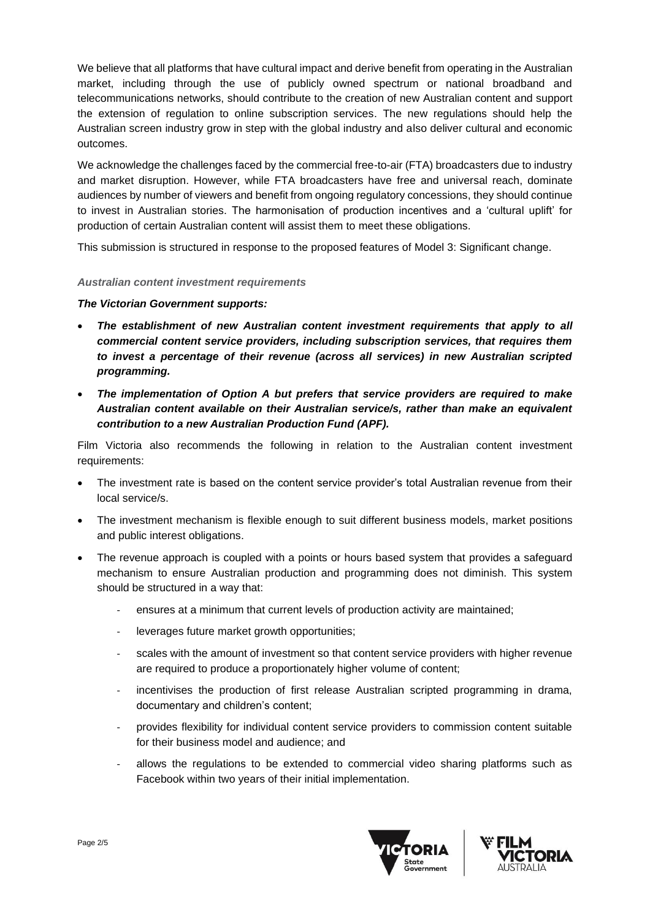We believe that all platforms that have cultural impact and derive benefit from operating in the Australian market, including through the use of publicly owned spectrum or national broadband and telecommunications networks, should contribute to the creation of new Australian content and support the extension of regulation to online subscription services. The new regulations should help the Australian screen industry grow in step with the global industry and also deliver cultural and economic outcomes.

We acknowledge the challenges faced by the commercial free-to-air (FTA) broadcasters due to industry and market disruption. However, while FTA broadcasters have free and universal reach, dominate audiences by number of viewers and benefit from ongoing regulatory concessions, they should continue to invest in Australian stories. The harmonisation of production incentives and a 'cultural uplift' for production of certain Australian content will assist them to meet these obligations.

This submission is structured in response to the proposed features of Model 3: Significant change.

#### *Australian content investment requirements*

#### *The Victorian Government supports:*

- *The establishment of new Australian content investment requirements that apply to all commercial content service providers, including subscription services, that requires them to invest a percentage of their revenue (across all services) in new Australian scripted programming.*
- *The implementation of Option A but prefers that service providers are required to make Australian content available on their Australian service/s, rather than make an equivalent contribution to a new Australian Production Fund (APF).*

Film Victoria also recommends the following in relation to the Australian content investment requirements:

- The investment rate is based on the content service provider's total Australian revenue from their local service/s.
- The investment mechanism is flexible enough to suit different business models, market positions and public interest obligations.
- The revenue approach is coupled with a points or hours based system that provides a safeguard mechanism to ensure Australian production and programming does not diminish. This system should be structured in a way that:
	- ensures at a minimum that current levels of production activity are maintained;
	- leverages future market growth opportunities;
	- scales with the amount of investment so that content service providers with higher revenue are required to produce a proportionately higher volume of content;
	- incentivises the production of first release Australian scripted programming in drama, documentary and children's content;
	- provides flexibility for individual content service providers to commission content suitable for their business model and audience; and
	- allows the regulations to be extended to commercial video sharing platforms such as Facebook within two years of their initial implementation.



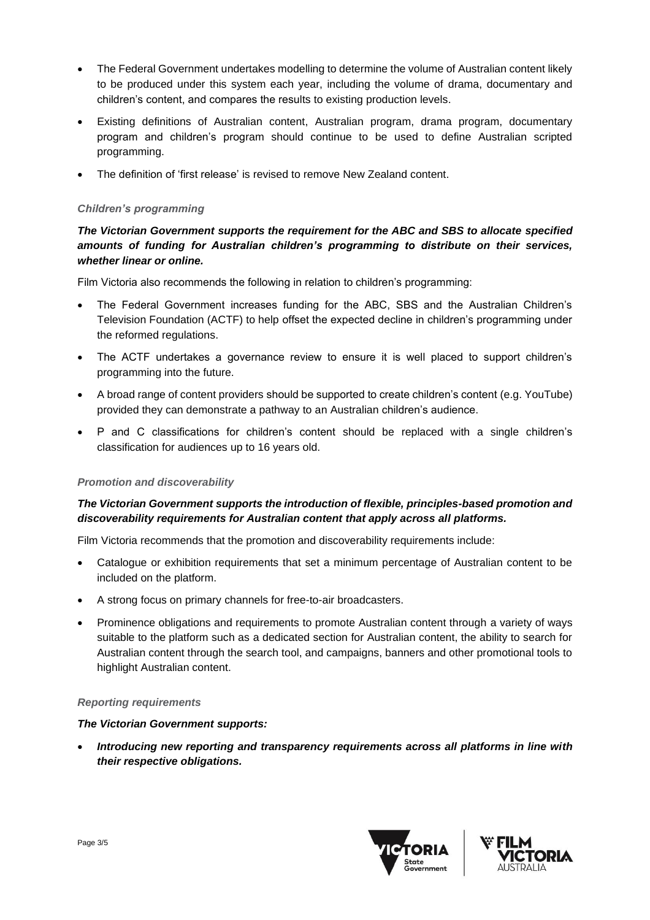- The Federal Government undertakes modelling to determine the volume of Australian content likely to be produced under this system each year, including the volume of drama, documentary and children's content, and compares the results to existing production levels.
- Existing definitions of Australian content, Australian program, drama program, documentary program and children's program should continue to be used to define Australian scripted programming.
- The definition of 'first release' is revised to remove New Zealand content.

#### *Children's programming*

# *The Victorian Government supports the requirement for the ABC and SBS to allocate specified amounts of funding for Australian children's programming to distribute on their services, whether linear or online.*

Film Victoria also recommends the following in relation to children's programming:

- The Federal Government increases funding for the ABC, SBS and the Australian Children's Television Foundation (ACTF) to help offset the expected decline in children's programming under the reformed regulations.
- The ACTF undertakes a governance review to ensure it is well placed to support children's programming into the future.
- A broad range of content providers should be supported to create children's content (e.g. YouTube) provided they can demonstrate a pathway to an Australian children's audience.
- P and C classifications for children's content should be replaced with a single children's classification for audiences up to 16 years old.

#### *Promotion and discoverability*

# *The Victorian Government supports the introduction of flexible, principles-based promotion and discoverability requirements for Australian content that apply across all platforms.*

Film Victoria recommends that the promotion and discoverability requirements include:

- Catalogue or exhibition requirements that set a minimum percentage of Australian content to be included on the platform.
- A strong focus on primary channels for free-to-air broadcasters.
- Prominence obligations and requirements to promote Australian content through a variety of ways suitable to the platform such as a dedicated section for Australian content, the ability to search for Australian content through the search tool, and campaigns, banners and other promotional tools to highlight Australian content.

#### *Reporting requirements*

#### *The Victorian Government supports:*

• *Introducing new reporting and transparency requirements across all platforms in line with their respective obligations.*



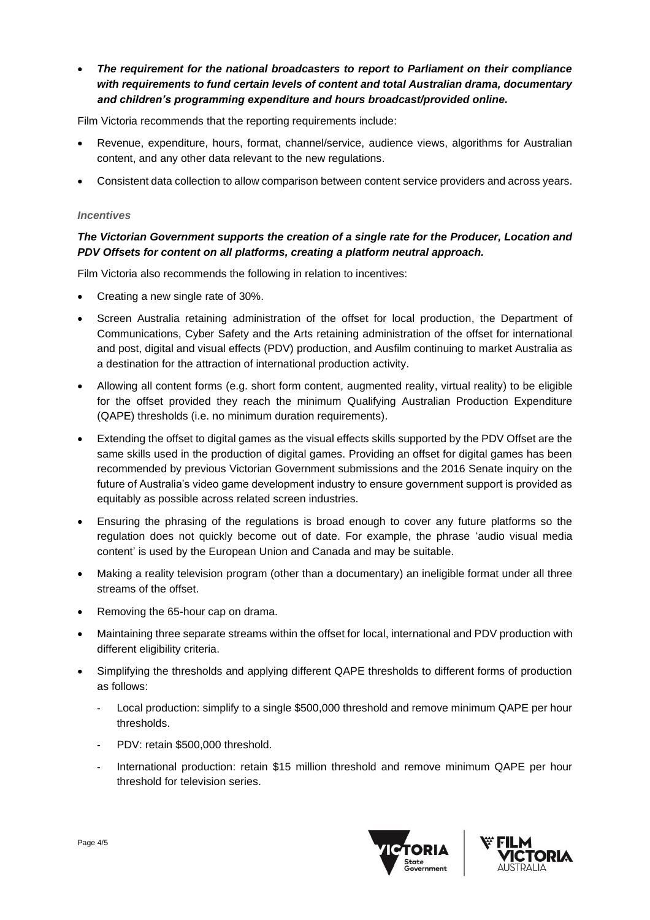• *The requirement for the national broadcasters to report to Parliament on their compliance with requirements to fund certain levels of content and total Australian drama, documentary and children's programming expenditure and hours broadcast/provided online.*

Film Victoria recommends that the reporting requirements include:

- Revenue, expenditure, hours, format, channel/service, audience views, algorithms for Australian content, and any other data relevant to the new regulations.
- Consistent data collection to allow comparison between content service providers and across years.

#### *Incentives*

## *The Victorian Government supports the creation of a single rate for the Producer, Location and PDV Offsets for content on all platforms, creating a platform neutral approach.*

Film Victoria also recommends the following in relation to incentives:

- Creating a new single rate of 30%.
- Screen Australia retaining administration of the offset for local production, the Department of Communications, Cyber Safety and the Arts retaining administration of the offset for international and post, digital and visual effects (PDV) production, and Ausfilm continuing to market Australia as a destination for the attraction of international production activity.
- Allowing all content forms (e.g. short form content, augmented reality, virtual reality) to be eligible for the offset provided they reach the minimum Qualifying Australian Production Expenditure (QAPE) thresholds (i.e. no minimum duration requirements).
- Extending the offset to digital games as the visual effects skills supported by the PDV Offset are the same skills used in the production of digital games. Providing an offset for digital games has been recommended by previous Victorian Government submissions and the 2016 Senate inquiry on the future of Australia's video game development industry to ensure government support is provided as equitably as possible across related screen industries.
- Ensuring the phrasing of the regulations is broad enough to cover any future platforms so the regulation does not quickly become out of date. For example, the phrase 'audio visual media content' is used by the European Union and Canada and may be suitable.
- Making a reality television program (other than a documentary) an ineligible format under all three streams of the offset.
- Removing the 65-hour cap on drama.
- Maintaining three separate streams within the offset for local, international and PDV production with different eligibility criteria.
- Simplifying the thresholds and applying different QAPE thresholds to different forms of production as follows:
	- Local production: simplify to a single \$500,000 threshold and remove minimum QAPE per hour thresholds.
	- PDV: retain \$500,000 threshold.
	- International production: retain \$15 million threshold and remove minimum QAPE per hour threshold for television series.